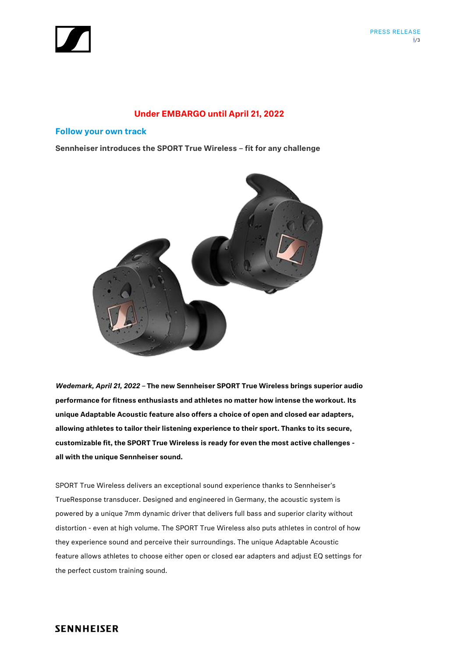

## **Under EMBARGO until April 21, 2022**

## **Follow your own track**

**Sennheiser introduces the SPORT True Wireless – fit for any challenge**



*Wedemark, April 21, 2022 –* **The new Sennheiser SPORT True Wireless brings superior audio performance for fitness enthusiasts and athletes no matter how intense the workout. Its unique Adaptable Acoustic feature also offers a choice of open and closed ear adapters, allowing athletes to tailor their listening experience to their sport. Thanks to its secure, customizable fit, the SPORT True Wireless is ready for even the most active challenges all with the unique Sennheiser sound.**

SPORT True Wireless delivers an exceptional sound experience thanks to Sennheiser's TrueResponse transducer. Designed and engineered in Germany, the acoustic system is powered by a unique 7mm dynamic driver that delivers full bass and superior clarity without distortion - even at high volume. The SPORT True Wireless also puts athletes in control of how they experience sound and perceive their surroundings. The unique Adaptable Acoustic feature allows athletes to choose either open or closed ear adapters and adjust EQ settings for the perfect custom training sound.

# **SENNHEISER**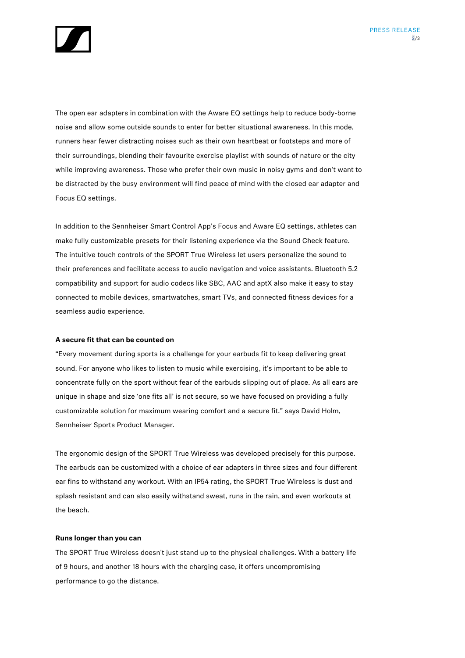

The open ear adapters in combination with the Aware EQ settings help to reduce body-borne noise and allow some outside sounds to enter for better situational awareness. In this mode, runners hear fewer distracting noises such as their own heartbeat or footsteps and more of their surroundings, blending their favourite exercise playlist with sounds of nature or the city while improving awareness. Those who prefer their own music in noisy gyms and don't want to be distracted by the busy environment will find peace of mind with the closed ear adapter and Focus EQ settings.

In addition to the Sennheiser Smart Control App's Focus and Aware EQ settings, athletes can make fully customizable presets for their listening experience via the Sound Check feature. The intuitive touch controls of the SPORT True Wireless let users personalize the sound to their preferences and facilitate access to audio navigation and voice assistants. Bluetooth 5.2 compatibility and support for audio codecs like SBC, AAC and aptX also make it easy to stay connected to mobile devices, smartwatches, smart TVs, and connected fitness devices for a seamless audio experience.

### **A secure fit that can be counted on**

"Every movement during sports is a challenge for your earbuds fit to keep delivering great sound. For anyone who likes to listen to music while exercising, it's important to be able to concentrate fully on the sport without fear of the earbuds slipping out of place. As all ears are unique in shape and size 'one fits all' is not secure, so we have focused on providing a fully customizable solution for maximum wearing comfort and a secure fit." says David Holm, Sennheiser Sports Product Manager.

The ergonomic design of the SPORT True Wireless was developed precisely for this purpose. The earbuds can be customized with a choice of ear adapters in three sizes and four different ear fins to withstand any workout. With an IP54 rating, the SPORT True Wireless is dust and splash resistant and can also easily withstand sweat, runs in the rain, and even workouts at the beach.

#### **Runs longer than you can**

The SPORT True Wireless doesn't just stand up to the physical challenges. With a battery life of 9 hours, and another 18 hours with the charging case, it offers uncompromising performance to go the distance.